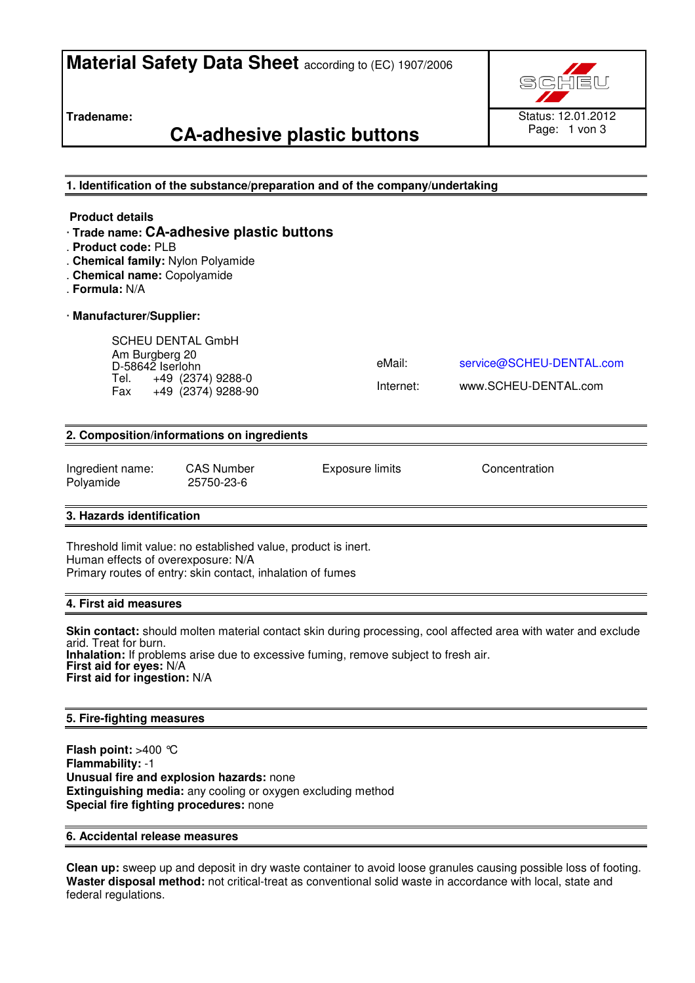# **Material Safety Data Sheet** according to (EC) 1907/2006

**Tradename:** 

# **CA-adhesive plastic buttons**



**1. Identification of the substance/preparation and of the company/undertaking** 

#### **Product details**

- · **Trade name: CA-adhesive plastic buttons**
- . **Product code:** PLB
- . **Chemical family:** Nylon Polyamide
- . **Chemical name:** Copolyamide
- . **Formula:** N/A

#### · **Manufacturer/Supplier:**

SCHEU DENTAL GmbH Am Burgberg 20 D-58642 Iserlohn Tel. +49 (2374) 9288-0<br>Fax +49 (2374) 9288-9  $+49$   $(2374)$  9288-90

eMail: service@SCHEU-DENTAL.com

Internet: www.SCHEU-DENTAL.com

#### **2. Composition/informations on ingredients**

Ingredient name: CAS Number Exposure limits Concentration Polyamide 25750-23-6

#### **3. Hazards identification**

Threshold limit value: no established value, product is inert. Human effects of overexposure: N/A Primary routes of entry: skin contact, inhalation of fumes

#### **4. First aid measures**

**Skin contact:** should molten material contact skin during processing, cool affected area with water and exclude arid. Treat for burn. **Inhalation:** If problems arise due to excessive fuming, remove subject to fresh air. **First aid for eyes:** N/A **First aid for ingestion:** N/A

#### **5. Fire-fighting measures**

**Flash point:** >400 °C **Flammability:** -1 **Unusual fire and explosion hazards:** none **Extinguishing media:** any cooling or oxygen excluding method **Special fire fighting procedures:** none

### **6. Accidental release measures**

**Clean up:** sweep up and deposit in dry waste container to avoid loose granules causing possible loss of footing. **Waster disposal method:** not critical-treat as conventional solid waste in accordance with local, state and federal regulations.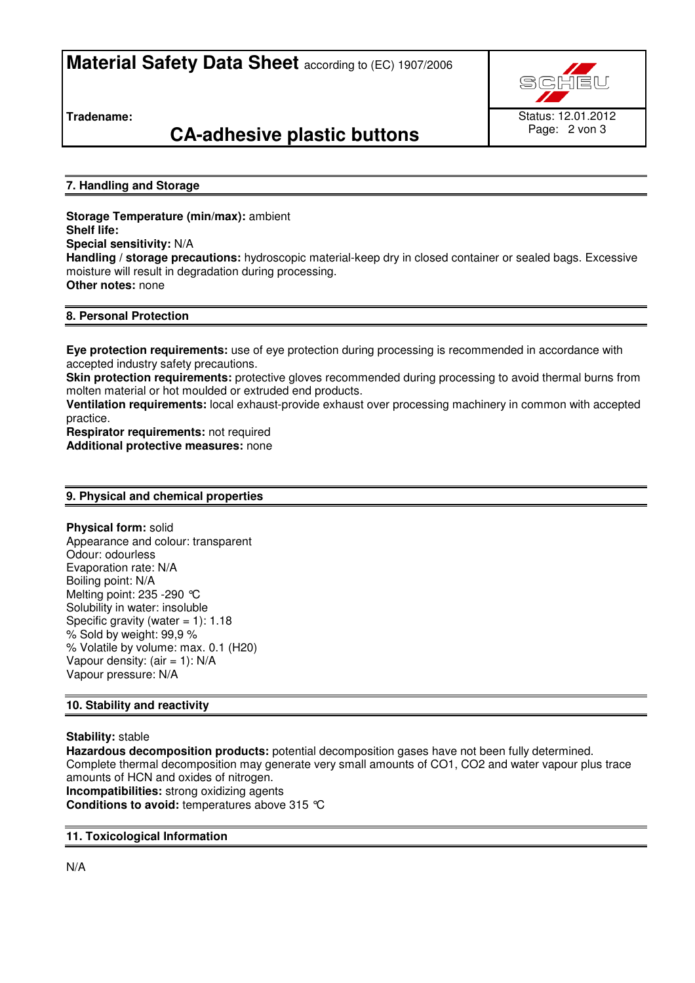**Material Safety Data Sheet** according to (EC) 1907/2006

Status: 12.01.2012

Page: 2 von 3

**Tradename:** 

# **CA-adhesive plastic buttons**

### **7. Handling and Storage**

**Storage Temperature (min/max):** ambient **Shelf life: Special sensitivity:** N/A **Handling / storage precautions:** hydroscopic material-keep dry in closed container or sealed bags. Excessive moisture will result in degradation during processing. **Other notes:** none

### **8. Personal Protection**

**Eye protection requirements:** use of eye protection during processing is recommended in accordance with accepted industry safety precautions.

**Skin protection requirements:** protective gloves recommended during processing to avoid thermal burns from molten material or hot moulded or extruded end products.

**Ventilation requirements:** local exhaust-provide exhaust over processing machinery in common with accepted practice.

**Respirator requirements:** not required **Additional protective measures:** none

#### **9. Physical and chemical properties**

**Physical form:** solid Appearance and colour: transparent Odour: odourless Evaporation rate: N/A Boiling point: N/A Melting point: 235 -290 °C Solubility in water: insoluble Specific gravity (water  $= 1$ ): 1.18 % Sold by weight: 99,9 % % Volatile by volume: max. 0.1 (H20) Vapour density:  $(air = 1)$ : N/A Vapour pressure: N/A

#### **10. Stability and reactivity**

#### **Stability:** stable

**Hazardous decomposition products:** potential decomposition gases have not been fully determined. Complete thermal decomposition may generate very small amounts of CO1, CO2 and water vapour plus trace amounts of HCN and oxides of nitrogen. **Incompatibilities:** strong oxidizing agents

**Conditions to avoid:** temperatures above 315 °C

#### **11. Toxicological Information**